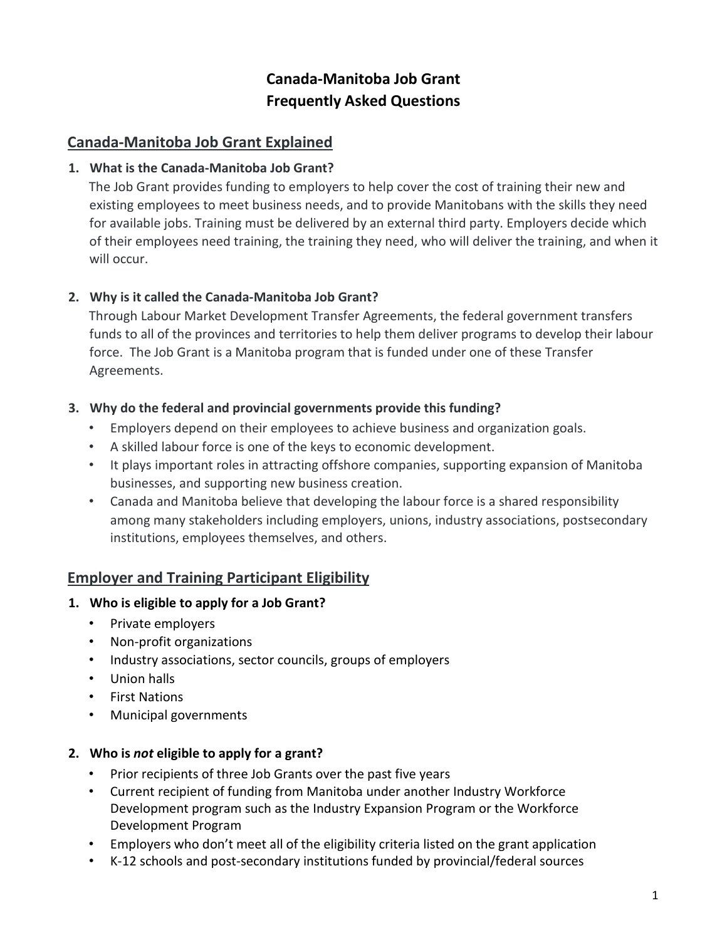# **Canada-Manitoba Job Grant Frequently Asked Questions**

# **Canada-Manitoba Job Grant Explained**

### **1. What is the Canada-Manitoba Job Grant?**

The Job Grant provides funding to employers to help cover the cost of training their new and existing employees to meet business needs, and to provide Manitobans with the skills they need for available jobs. Training must be delivered by an external third party. Employers decide which of their employees need training, the training they need, who will deliver the training, and when it will occur.

### **2. Why is it called the Canada-Manitoba Job Grant?**

Through Labour Market Development Transfer Agreements, the federal government transfers funds to all of the provinces and territories to help them deliver programs to develop their labour force. The Job Grant is a Manitoba program that is funded under one of these Transfer Agreements.

### **3. Why do the federal and provincial governments provide this funding?**

- Employers depend on their employees to achieve business and organization goals.
- A skilled labour force is one of the keys to economic development.
- It plays important roles in attracting offshore companies, supporting expansion of Manitoba businesses, and supporting new business creation.
- Canada and Manitoba believe that developing the labour force is a shared responsibility among many stakeholders including employers, unions, industry associations, postsecondary institutions, employees themselves, and others.

### **Employer and Training Participant Eligibility**

#### **1. Who is eligible to apply for a Job Grant?**

- Private employers
- Non-profit organizations
- Industry associations, sector councils, groups of employers
- Union halls
- First Nations
- Municipal governments

### **2. Who is** *not* **eligible to apply for a grant?**

- Prior recipients of three Job Grants over the past five years
- Current recipient of funding from Manitoba under another Industry Workforce Development program such as the Industry Expansion Program or the Workforce Development Program
- Employers who don't meet all of the eligibility criteria listed on the grant application
- K-12 schools and post-secondary institutions funded by provincial/federal sources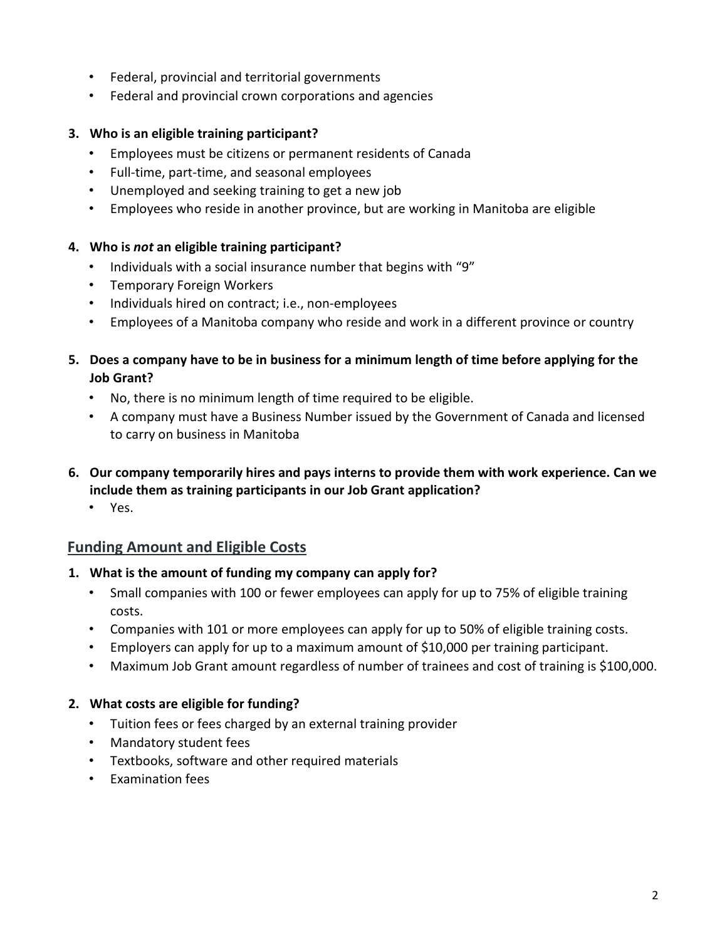- Federal, provincial and territorial governments
- Federal and provincial crown corporations and agencies

### **3. Who is an eligible training participant?**

- Employees must be citizens or permanent residents of Canada
- Full-time, part-time, and seasonal employees
- Unemployed and seeking training to get a new job
- Employees who reside in another province, but are working in Manitoba are eligible

### **4. Who is** *not* **an eligible training participant?**

- Individuals with a social insurance number that begins with "9"
- Temporary Foreign Workers
- Individuals hired on contract; i.e., non-employees
- Employees of a Manitoba company who reside and work in a different province or country

## **5. Does a company have to be in business for a minimum length of time before applying for the Job Grant?**

- No, there is no minimum length of time required to be eligible.
- A company must have a Business Number issued by the Government of Canada and licensed to carry on business in Manitoba
- **6. Our company temporarily hires and pays interns to provide them with work experience. Can we include them as training participants in our Job Grant application?** 
	- Yes.

# **Funding Amount and Eligible Costs**

### **1. What is the amount of funding my company can apply for?**

- Small companies with 100 or fewer employees can apply for up to 75% of eligible training costs.
- Companies with 101 or more employees can apply for up to 50% of eligible training costs.
- Employers can apply for up to a maximum amount of \$10,000 per training participant.
- Maximum Job Grant amount regardless of number of trainees and cost of training is \$100,000.

### **2. What costs are eligible for funding?**

- Tuition fees or fees charged by an external training provider
- Mandatory student fees
- Textbooks, software and other required materials
- Examination fees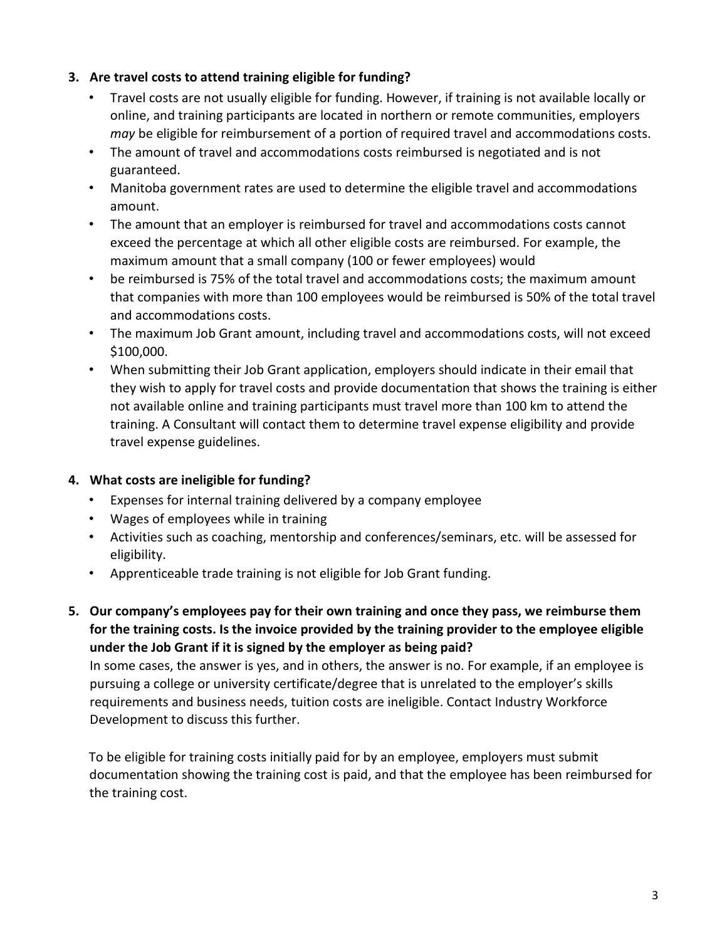### **3. Are travel costs to attend training eligible for funding?**

- Travel costs are not usually eligible for funding. However, if training is not available locally or online, and training participants are located in northern or remote communities, employers *may* be eligible for reimbursement of a portion of required travel and accommodations costs.
- The amount of travel and accommodations costs reimbursed is negotiated and is not guaranteed.
- Manitoba government rates are used to determine the eligible travel and accommodations amount.
- The amount that an employer is reimbursed for travel and accommodations costs cannot exceed the percentage at which all other eligible costs are reimbursed. For example, the maximum amount that a small company (100 or fewer employees) would
- be reimbursed is 75% of the total travel and accommodations costs; the maximum amount that companies with more than 100 employees would be reimbursed is 50% of the total travel and accommodations costs.
- The maximum Job Grant amount, including travel and accommodations costs, will not exceed \$100,000.
- When submitting their Job Grant application, employers should indicate in their email that they wish to apply for travel costs and provide documentation that shows the training is either not available online and training participants must travel more than 100 km to attend the training. A Consultant will contact them to determine travel expense eligibility and provide travel expense guidelines.

### **4. What costs are ineligible for funding?**

- Expenses for internal training delivered by a company employee
- Wages of employees while in training
- Activities such as coaching, mentorship and conferences/seminars, etc. will be assessed for eligibility.
- Apprenticeable trade training is not eligible for Job Grant funding.
- **5. Our company's employees pay for their own training and once they pass, we reimburse them for the training costs. Is the invoice provided by the training provider to the employee eligible under the Job Grant if it is signed by the employer as being paid?**

In some cases, the answer is yes, and in others, the answer is no. For example, if an employee is pursuing a college or university certificate/degree that is unrelated to the employer's skills requirements and business needs, tuition costs are ineligible. Contact Industry Workforce Development to discuss this further.

To be eligible for training costs initially paid for by an employee, employers must submit documentation showing the training cost is paid, and that the employee has been reimbursed for the training cost.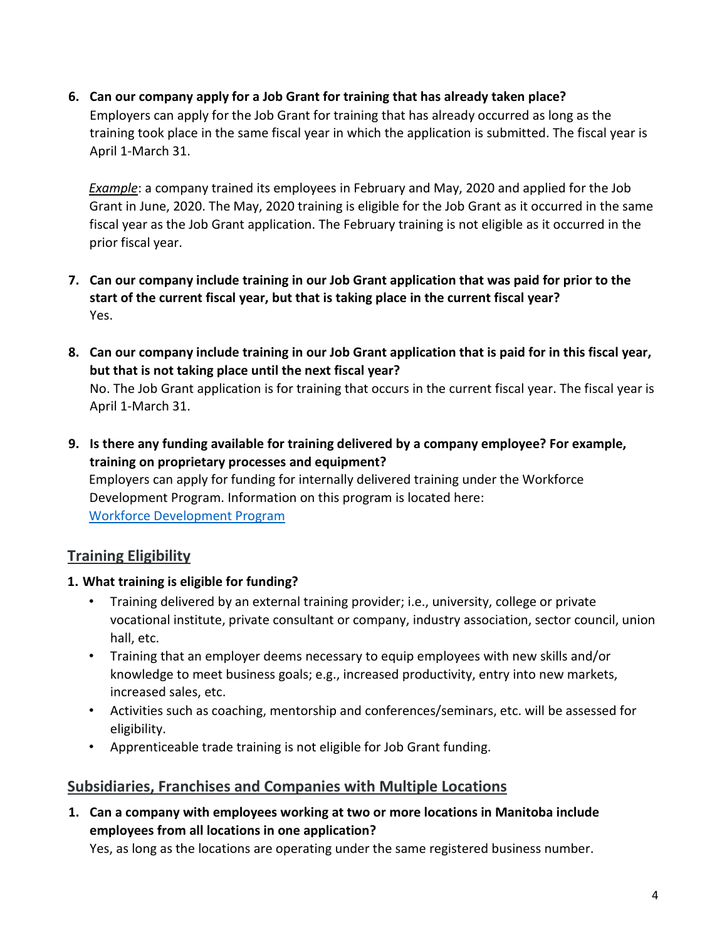**6. Can our company apply for a Job Grant for training that has already taken place?**  Employers can apply for the Job Grant for training that has already occurred as long as the training took place in the same fiscal year in which the application is submitted. The fiscal year is April 1-March 31.

*Example*: a company trained its employees in February and May, 2020 and applied for the Job Grant in June, 2020. The May, 2020 training is eligible for the Job Grant as it occurred in the same fiscal year as the Job Grant application. The February training is not eligible as it occurred in the prior fiscal year.

- **7. Can our company include training in our Job Grant application that was paid for prior to the start of the current fiscal year, but that is taking place in the current fiscal year?**  Yes.
- **8. Can our company include training in our Job Grant application that is paid for in this fiscal year, but that is not taking place until the next fiscal year?**

No. The Job Grant application is for training that occurs in the current fiscal year. The fiscal year is April 1-March 31.

**9. Is there any funding available for training delivered by a company employee? For example, training on proprietary processes and equipment?** 

Employers can apply for funding for internally delivered training under the Workforce Development Program. Information on this program is located here: [Workforce Development Program](https://www.gov.mb.ca/jec/busdev/financial/workforce.html) 

# **Training Eligibility**

### **1. What training is eligible for funding?**

- Training delivered by an external training provider; i.e., university, college or private vocational institute, private consultant or company, industry association, sector council, union hall, etc.
- Training that an employer deems necessary to equip employees with new skills and/or knowledge to meet business goals; e.g., increased productivity, entry into new markets, increased sales, etc.
- Activities such as coaching, mentorship and conferences/seminars, etc. will be assessed for eligibility.
- Apprenticeable trade training is not eligible for Job Grant funding.

# **Subsidiaries, Franchises and Companies with Multiple Locations**

**1. Can a company with employees working at two or more locations in Manitoba include employees from all locations in one application?** 

Yes, as long as the locations are operating under the same registered business number.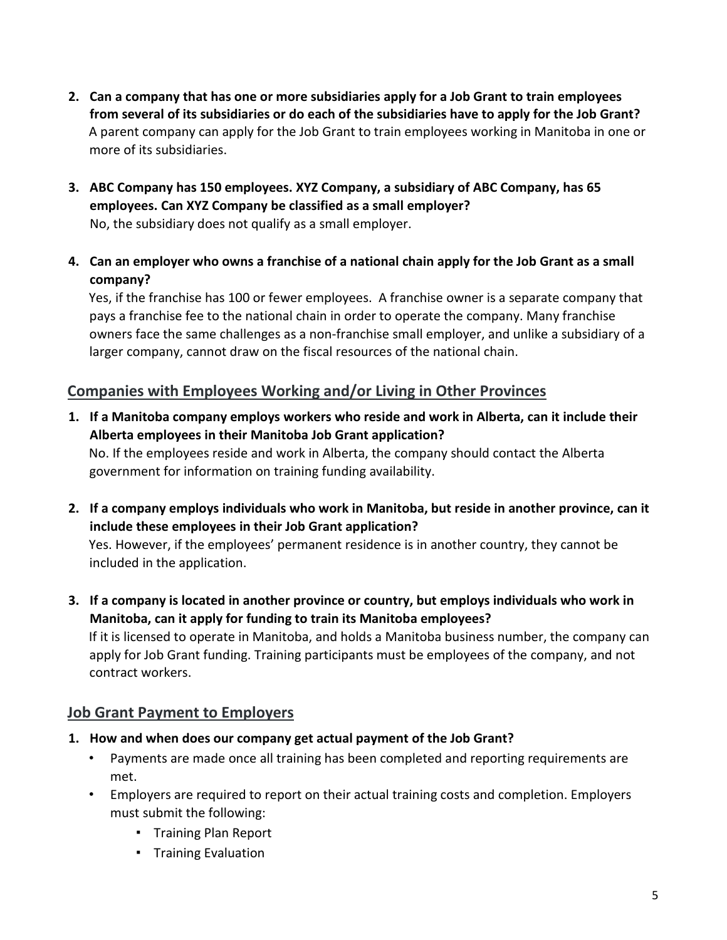- **2. Can a company that has one or more subsidiaries apply for a Job Grant to train employees from several of its subsidiaries or do each of the subsidiaries have to apply for the Job Grant?** A parent company can apply for the Job Grant to train employees working in Manitoba in one or more of its subsidiaries.
- **3. ABC Company has 150 employees. XYZ Company, a subsidiary of ABC Company, has 65 employees. Can XYZ Company be classified as a small employer?**

No, the subsidiary does not qualify as a small employer.

**4. Can an employer who owns a franchise of a national chain apply for the Job Grant as a small company?** 

Yes, if the franchise has 100 or fewer employees. A franchise owner is a separate company that pays a franchise fee to the national chain in order to operate the company. Many franchise owners face the same challenges as a non-franchise small employer, and unlike a subsidiary of a larger company, cannot draw on the fiscal resources of the national chain.

# **Companies with Employees Working and/or Living in Other Provinces**

- **1. If a Manitoba company employs workers who reside and work in Alberta, can it include their Alberta employees in their Manitoba Job Grant application?**  No. If the employees reside and work in Alberta, the company should contact the Alberta government for information on training funding availability.
- **2. If a company employs individuals who work in Manitoba, but reside in another province, can it include these employees in their Job Grant application?**  Yes. However, if the employees' permanent residence is in another country, they cannot be

included in the application.

**3. If a company is located in another province or country, but employs individuals who work in Manitoba, can it apply for funding to train its Manitoba employees?** 

If it is licensed to operate in Manitoba, and holds a Manitoba business number, the company can apply for Job Grant funding. Training participants must be employees of the company, and not contract workers.

### **Job Grant Payment to Employers**

- **1. How and when does our company get actual payment of the Job Grant?**
	- Payments are made once all training has been completed and reporting requirements are met.
	- Employers are required to report on their actual training costs and completion. Employers must submit the following:
		- Training Plan Report
		- Training Evaluation